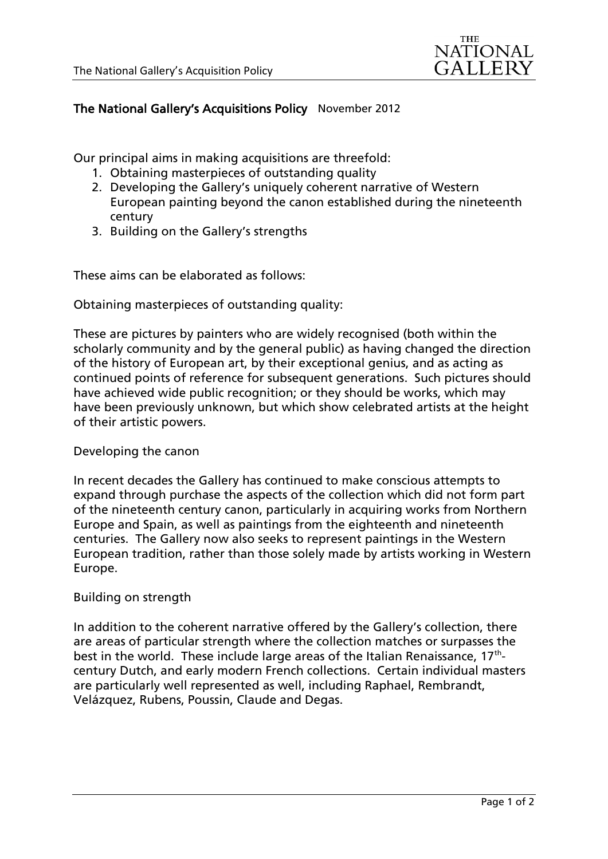

## The National Gallery's Acquisitions Policy November 2012

Our principal aims in making acquisitions are threefold:

- 1. Obtaining masterpieces of outstanding quality
- 2. Developing the Gallery's uniquely coherent narrative of Western European painting beyond the canon established during the nineteenth century
- 3. Building on the Gallery's strengths

These aims can be elaborated as follows:

Obtaining masterpieces of outstanding quality:

These are pictures by painters who are widely recognised (both within the scholarly community and by the general public) as having changed the direction of the history of European art, by their exceptional genius, and as acting as continued points of reference for subsequent generations. Such pictures should have achieved wide public recognition; or they should be works, which may have been previously unknown, but which show celebrated artists at the height of their artistic powers.

## Developing the canon

In recent decades the Gallery has continued to make conscious attempts to expand through purchase the aspects of the collection which did not form part of the nineteenth century canon, particularly in acquiring works from Northern Europe and Spain, as well as paintings from the eighteenth and nineteenth centuries. The Gallery now also seeks to represent paintings in the Western European tradition, rather than those solely made by artists working in Western Europe.

## Building on strength

In addition to the coherent narrative offered by the Gallery's collection, there are areas of particular strength where the collection matches or surpasses the best in the world. These include large areas of the Italian Renaissance, 17<sup>th</sup>century Dutch, and early modern French collections. Certain individual masters are particularly well represented as well, including Raphael, Rembrandt, Velázquez, Rubens, Poussin, Claude and Degas.